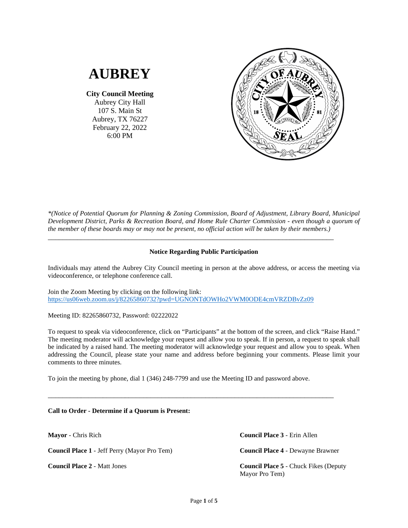# **AUBREY**

**City Council Meeting** Aubrey City Hall 107 S. Main St Aubrey, TX 76227 February 22, 2022 6:00 PM



*\*(Notice of Potential Quorum for Planning & Zoning Commission, Board of Adjustment, Library Board, Municipal Development District, Parks & Recreation Board, and Home Rule Charter Commission - even though a quorum of the member of these boards may or may not be present, no official action will be taken by their members.)*

# **Notice Regarding Public Participation**

\_\_\_\_\_\_\_\_\_\_\_\_\_\_\_\_\_\_\_\_\_\_\_\_\_\_\_\_\_\_\_\_\_\_\_\_\_\_\_\_\_\_\_\_\_\_\_\_\_\_\_\_\_\_\_\_\_\_\_\_\_\_\_\_\_\_\_\_\_\_\_\_\_\_\_\_\_\_

Individuals may attend the Aubrey City Council meeting in person at the above address, or access the meeting via videoconference, or telephone conference call.

Join the Zoom Meeting by clicking on the following link: <https://us06web.zoom.us/j/82265860732?pwd=UGNONTdOWHo2VWM0ODE4cmVRZDBvZz09>

Meeting ID: 82265860732, Password: 02222022

To request to speak via videoconference, click on "Participants" at the bottom of the screen, and click "Raise Hand." The meeting moderator will acknowledge your request and allow you to speak. If in person, a request to speak shall be indicated by a raised hand. The meeting moderator will acknowledge your request and allow you to speak. When addressing the Council, please state your name and address before beginning your comments. Please limit your comments to three minutes.

To join the meeting by phone, dial 1 (346) 248-7799 and use the Meeting ID and password above.

\_\_\_\_\_\_\_\_\_\_\_\_\_\_\_\_\_\_\_\_\_\_\_\_\_\_\_\_\_\_\_\_\_\_\_\_\_\_\_\_\_\_\_\_\_\_\_\_\_\_\_\_\_\_\_\_\_\_\_\_\_\_\_\_\_\_\_\_\_\_\_\_\_\_\_\_\_\_

**Call to Order - Determine if a Quorum is Present:**

**Mayor** - Chris Rich

**Council Place 1** - Jeff Perry (Mayor Pro Tem)

**Council Place 2** - Matt Jones

**Council Place 3** - Erin Allen

**Council Place 4** - Dewayne Brawner

**Council Place 5** - Chuck Fikes (Deputy Mayor Pro Tem)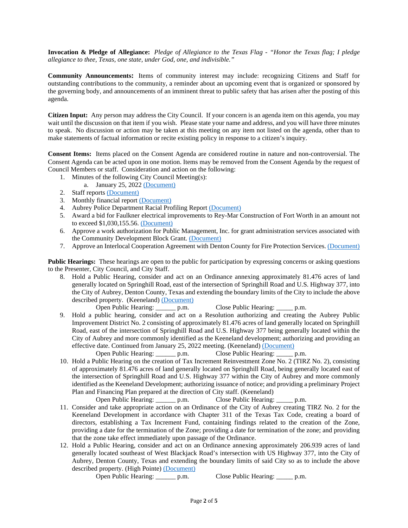**Invocation & Pledge of Allegiance:** *Pledge of Allegiance to the Texas Flag - "Honor the Texas flag; I pledge allegiance to thee, Texas, one state, under God, one, and indivisible."*

**Community Announcements:** Items of community interest may include: recognizing Citizens and Staff for outstanding contributions to the community, a reminder about an upcoming event that is organized or sponsored by the governing body, and announcements of an imminent threat to public safety that has arisen after the posting of this agenda.

**Citizen Input:** Any person may address the City Council. If your concern is an agenda item on this agenda, you may wait until the discussion on that item if you wish. Please state your name and address, and you will have three minutes to speak. No discussion or action may be taken at this meeting on any item not listed on the agenda, other than to make statements of factual information or recite existing policy in response to a citizen's inquiry.

**Consent Items:** Items placed on the Consent Agenda are considered routine in nature and non-controversial. The Consent Agenda can be acted upon in one motion. Items may be removed from the Consent Agenda by the request of Council Members or staff. Consideration and action on the following:

- 1. Minutes of the following City Council Meeting(s):
	- a. January 25, 2022 [\(Document\)](https://www.dropbox.com/s/1gopp848xp69i2m/1%202022_01_25%20%20Minutes.pdf?dl=0)
- 2. Staff reports [\(Document\)](https://www.dropbox.com/s/90y15r38ndwreaw/2%20Staff%20Reports.pdf?dl=0)
- 3. Monthly financial report [\(Document\)](https://www.dropbox.com/s/d4ty5dotgvkvdaa/3%20January%20Financial%20Report.pdf?dl=0)
- 4. Aubrey Police Department Racial Profiling Repor[t \(Document\)](https://www.dropbox.com/s/1asibv6uj4a5l0n/4%20Final%202021%20Racial%20Profiling%20Report%20Aubrey%20PD.pdf?dl=0)
- 5. Award a bid for Faulkner electrical improvements to Rey-Mar Construction of Fort Worth in an amount not to exceed \$1,030,155.56. [\(Document\)](https://www.dropbox.com/s/2mdptur34e2b17b/5%20Faulkner%20Well%20Electrical%20Staff%20Report_LW.pdf?dl=0)
- 6. Approve a work authorization for Public Management, Inc. for grant administration services associated with the Community Development Block Grant. [\(Document\)](https://www.dropbox.com/s/cbpfpwnquyek6kd/6%20CBDG%20Work%20Auth.pdf?dl=0)
- 7. Approve an Interlocal Cooperation Agreement with Denton County for Fire Protection Services. [\(Document\)](https://www.dropbox.com/s/6jzpj7rr56xayio/7%202021-2022%20Aubrey%20Fire.pdf?dl=0)

**Public Hearings:** These hearings are open to the public for participation by expressing concerns or asking questions to the Presenter, City Council, and City Staff.

8. Hold a Public Hearing, consider and act on an Ordinance annexing approximately 81.476 acres of land generally located on Springhill Road, east of the intersection of Springhill Road and U.S. Highway 377, into the City of Aubrey, Denton County, Texas and extending the boundary limits of the City to include the above described property. (Keeneland) [\(Document\)](https://www.dropbox.com/s/y4192k9bpyd6rsz/8%20Keeneland%20Annexation%20Ordinance%20%28EB%2002042022%29.pdf?dl=0)<br>Open Public Hearing: \_\_\_\_\_\_\_ p.m.

p.m. Close Public Hearing: \_\_\_\_\_\_ p.m.

9. Hold a public hearing, consider and act on a Resolution authorizing and creating the Aubrey Public Improvement District No. 2 consisting of approximately 81.476 acres of land generally located on Springhill Road, east of the intersection of Springhill Road and U.S. Highway 377 being generally located within the City of Aubrey and more commonly identified as the Keeneland development; authorizing and providing an effective date. Continued from January 25, 2022 meeting. (Keeneland) [\(Document\)](https://www.dropbox.com/s/h1eqlii2wpcgb2s/9%20Creating%20Keeneland%20PID%20%28COA%20PID%20%232%29%20%28EB_02172022%29.pdf?dl=0)<br>Open Public Hearing: p.m. Close Public Hearing: p.m. Open Public Hearing: \_\_\_\_\_\_ p.m.

10. Hold a Public Hearing on the creation of Tax Increment Reinvestment Zone No. 2 (TIRZ No. 2), consisting of approximately 81.476 acres of land generally located on Springhill Road, being generally located east of the intersection of Springhill Road and U.S. Highway 377 within the City of Aubrey and more commonly identified as the Keeneland Development; authorizing issuance of notice; and providing a preliminary Project Plan and Financing Plan prepared at the direction of City staff. (Keeneland)<br>Open Public Hearing: p.m. Close Public Hearing:

p.m. Close Public Hearing: p.m.

- 11. Consider and take appropriate action on an Ordinance of the City of Aubrey creating TIRZ No. 2 for the Keeneland Development in accordance with Chapter 311 of the Texas Tax Code, creating a board of directors, establishing a Tax Increment Fund, containing findings related to the creation of the Zone, providing a date for the termination of the Zone; providing a date for termination of the zone; and providing that the zone take effect immediately upon passage of the Ordinance.
- 12. Hold a Public Hearing, consider and act on an Ordinance annexing approximately 206.939 acres of land generally located southeast of West Blackjack Road's intersection with US Highway 377, into the City of Aubrey, Denton County, Texas and extending the boundary limits of said City so as to include the above described property. (High Pointe) [\(Document\)](https://www.dropbox.com/s/sp70iflybw7f17y/12%20High%20Pointe%20Annexation%20Ordinance%20%28206%20Acres%29%20%28EB%2002042022%29.pdf?dl=0)

Open Public Hearing: \_\_\_\_\_\_ p.m. Close Public Hearing: \_\_\_\_\_ p.m.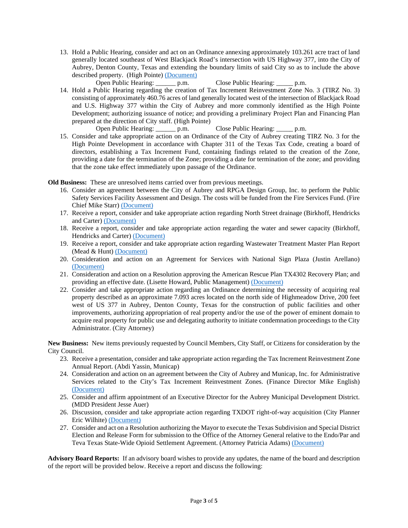13. Hold a Public Hearing, consider and act on an Ordinance annexing approximately 103.261 acre tract of land generally located southeast of West Blackjack Road's intersection with US Highway 377, into the City of Aubrey, Denton County, Texas and extending the boundary limits of said City so as to include the above described property. (High Pointe) [\(Document\)](https://www.dropbox.com/s/697n5ft7y4evxtf/13%20High%20Pointe%20Annexation%20Ordinance%20%28103%20Acres%29%20%28EB%2002032022%29.pdf?dl=0)

Open Public Hearing: <br>p.m. Close Public Hearing: <br>p.m.

14. Hold a Public Hearing regarding the creation of Tax Increment Reinvestment Zone No. 3 (TIRZ No. 3) consisting of approximately 460.76 acres of land generally located west of the intersection of Blackjack Road and U.S. Highway 377 within the City of Aubrey and more commonly identified as the High Pointe Development; authorizing issuance of notice; and providing a preliminary Project Plan and Financing Plan prepared at the direction of City staff. (High Pointe)

Open Public Hearing: \_\_\_\_\_\_ p.m. Close Public Hearing: \_\_\_\_\_ p.m.

15. Consider and take appropriate action on an Ordinance of the City of Aubrey creating TIRZ No. 3 for the High Pointe Development in accordance with Chapter 311 of the Texas Tax Code, creating a board of directors, establishing a Tax Increment Fund, containing findings related to the creation of the Zone, providing a date for the termination of the Zone; providing a date for termination of the zone; and providing that the zone take effect immediately upon passage of the Ordinance.

**Old Business:** These are unresolved items carried over from previous meetings.

- 16. Consider an agreement between the City of Aubrey and RPGA Design Group, Inc. to perform the Public Safety Services Facility Assessment and Design. The costs will be funded from the Fire Services Fund. (Fire Chief Mike Starr[\) \(Document\)](https://www.dropbox.com/s/m2mqusiek0q7evs/16%20RGPA%20Agreement%202022.pdf?dl=0)
- 17. Receive a report, consider and take appropriate action regarding North Street drainage (Birkhoff, Hendricks and Carter) [\(Document\)](https://www.dropbox.com/s/lb2xr920ypc2z1t/17%20North%20St%20Drainage.pdf?dl=0)
- 18. Receive a report, consider and take appropriate action regarding the water and sewer capacity (Birkhoff, Hendricks and Carter) [\(Document\)](https://www.dropbox.com/s/d08qyzuk6heoqz0/18%20Water%20Sewer%20Capacity%20Report%20Exhibits.pdf?dl=0)
- 19. Receive a report, consider and take appropriate action regarding Wastewater Treatment Master Plan Report (Mead & Hunt) [\(Document\)](https://www.dropbox.com/s/8i5xw4pmu61e9sf/19%20WWTP%20Master%20Plan.pdf?dl=0)
- 20. Consideration and action on an Agreement for Services with National Sign Plaza (Justin Arellano) [\(Document\)](https://www.dropbox.com/s/l64pb69vteqzqtn/20%20National%20Sign%20Agreement.pdf?dl=0)
- 21. Consideration and action on a Resolution approving the American Rescue Plan TX4302 Recovery Plan; and providing an effective date. (Lisette Howard, Public Management) [\(Document\)](https://www.dropbox.com/s/u99ocxijlp6kav8/21%20Resolution%20Approving%20Recovery%20Plan%20ARPA%20%28EB%2002172022%29.pdf?dl=0)
- 22. Consider and take appropriate action regarding an Ordinance determining the necessity of acquiring real property described as an approximate 7.093 acres located on the north side of Highmeadow Drive, 200 feet west of US 377 in Aubrey, Denton County, Texas for the construction of public facilities and other improvements, authorizing appropriation of real property and/or the use of the power of eminent domain to acquire real property for public use and delegating authority to initiate condemnation proceedings to the City Administrator. (City Attorney)

**New Business:** New items previously requested by Council Members, City Staff, or Citizens for consideration by the City Council.

- 23. Receive a presentation, consider and take appropriate action regarding the Tax Increment Reinvestment Zone Annual Report. (Abdi Yassin, Municap)
- 24. Consideration and action on an agreement between the City of Aubrey and Municap, Inc. for Administrative Services related to the City's Tax Increment Reinvestment Zones. (Finance Director Mike English) [\(Document\)](https://www.dropbox.com/s/i9nxmxlifleqsaf/24%20Municap%20Agreement.pdf?dl=0)
- 25. Consider and affirm appointment of an Executive Director for the Aubrey Municipal Development District. (MDD President Jesse Auer)
- 26. Discussion, consider and take appropriate action regarding TXDOT right-of-way acquisition (City Planner Eric Wilhite) [\(Document\)](https://www.dropbox.com/s/gd2uyzsfe99f864/26%20SH%20377%20Takings%20CC%20Presentation.pdf?dl=0)
- 27. Consider and act on a Resolution authorizing the Mayor to execute the Texas Subdivision and Special District Election and Release Form for submission to the Office of the Attorney General relative to the Endo/Par and Teva Texas State-Wide Opioid Settlement Agreement. (Attorney Patricia Adams) [\(Document\)](https://www.dropbox.com/s/m5l3dwahszjo3qw/27%20RES%20880-22%20Opioid%20Settlement.pdf?dl=0)

**Advisory Board Reports:** If an advisory board wishes to provide any updates, the name of the board and description of the report will be provided below. Receive a report and discuss the following: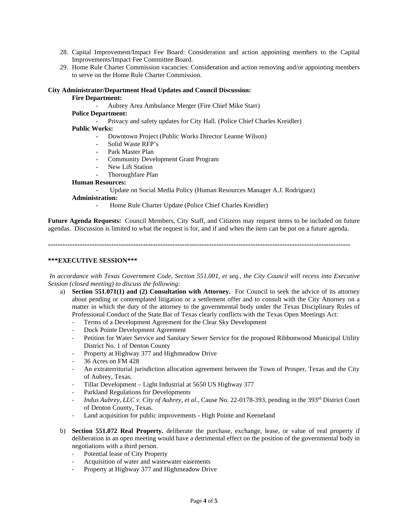- 28. Capital Improvement/Impact Fee Board: Consideration and action appointing members to the Capital Improvements/Impact Fee Committee Board.
- 29. Home Rule Charter Commission vacancies: Consideration and action removing and/or appointing members to serve on the Home Rule Charter Commission.

### **City Administrator/Department Head Updates and Council Discussion:**

### **Fire Department:**

- Aubrey Area Ambulance Merger (Fire Chief Mike Starr)

# **Police Department:**

- Privacy and safety updates for City Hall. (Police Chief Charles Kreidler)

# **Public Works:**

- Downtown Project (Public Works Director Leanne Wilson)
- Solid Waste RFP's
- Park Master Plan
- Community Development Grant Program
- New Lift Station
- Thoroughfare Plan

## **Human Resources:**

- Update on Social Media Policy (Human Resources Manager A.J. Rodriguez)

### **Administration:**

Home Rule Charter Update (Police Chief Charles Kreidler)

**Future Agenda Requests:** Council Members, City Staff, and Citizens may request items to be included on future agendas. Discussion is limited to what the request is for, and if and when the item can be put on a future agenda.

**----------------------------------------------------------------------------------------------------------------------------**

#### **\*\*\*EXECUTIVE SESSION\*\*\***

*In accordance with Texas Government Code, Section 551.001, et seq., the City Council will recess into Executive Session (closed meeting) to discuss the following:*

- a) **Section 551.071(1) and (2) Consultation with Attorney.** For Council to seek the advice of its attorney about pending or contemplated litigation or a settlement offer and to consult with the City Attorney on a matter in which the duty of the attorney to the governmental body under the Texas Disciplinary Rules of Professional Conduct of the State Bar of Texas clearly conflicts with the Texas Open Meetings Act:
	- Terms of a Development Agreement for the Clear Sky Development
	- Duck Pointe Development Agreement
	- Petition for Water Service and Sanitary Sewer Service for the proposed Ribbonwood Municipal Utility District No. 1 of Denton County
	- Property at Highway 377 and Highmeadow Drive
	- 36 Acres on FM 428
	- An extraterritorial jurisdiction allocation agreement between the Town of Prosper, Texas and the City of Aubrey, Texas.
	- Tillar Development Light Industrial at 5650 US Highway 377
	- Parkland Regulations for Developments
	- *Indus Aubrey, LLC v. City of Aubrey, et al.,* Cause No. 22-0178-393, pending in the 393rd District Court of Denton County, Texas.
	- Land acquisition for public improvements High Pointe and Keeneland
- b) **Section 551.072 Real Property.** deliberate the purchase, exchange, lease, or value of real property if deliberation in an open meeting would have a detrimental effect on the position of the governmental body in negotiations with a third person.
	- Potential lease of City Property
	- Acquisition of water and wastewater easements
	- Property at Highway 377 and Highmeadow Drive